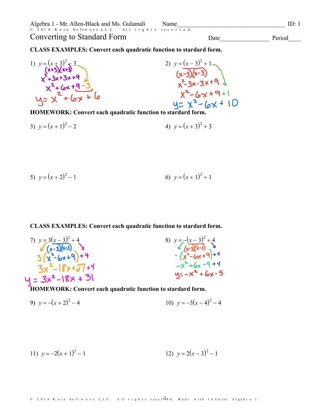Converting to Standard Form

Date

Period

**CLASS EXAMPLES: Convert each quadratic function to stardard form.** 



HOMEWORK: Convert each quadratic function to stardard form

3)  $v = (x + 1)^2 - 2$ 4)  $v = (x+3)^2 + 3$ 

5) 
$$
y=(x+2)^2-1
$$
 6)  $y=(x+1)^2+1$ 

**CLASS EXAMPLES: Convert each quadratic function to stardard form.** 

7) 
$$
y=3(x-3)^2+4
$$
  
\n $(x-3)(x-3)$   
\n3  $(x^2-6x+9)+4$   
\n $3x^2-18x+37$   
\n $4 = 3x^2-18x+31$   
\n $4 = 3x^2-18x+31$   
\n $4 = 3x^2-18x+31$   
\n $4 = 3x^2-18x+31$   
\n $4 = 3x^2-18x+31$   
\n $4 = 3x^2-18x+31$   
\n $4 = 3x^2-18x+31$   
\n $4 = 3x^2-18x+31$   
\n $4 = 3x^2-18x+31$   
\n $4 = 3x^2-18x+31$   
\n $4 = 3x^2-18x+31$   
\n $4 = 3x^2-18x+31$   
\n $4 = 3x^2-18x+31$ 

HOMEWORK: Convert each quadratic function to stardard form.

9) 
$$
y = -(x+2)^2 - 4
$$
  
10)  $y = -3(x-4)^2 - 4$ 

11) 
$$
y = -2(x+1)^2 - 1
$$
  
12)  $y = 2(x-3)^2 - 1$ 

© 2018 Kuta Software LLC. All rights reserved a. Made with Infinite Algebra 1.